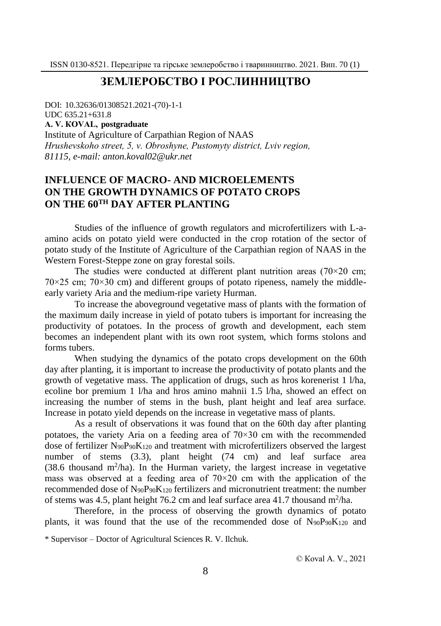## **ЗЕМЛЕРОБСТВО І РОСЛИННИЦТВО**

DOI: 10.32636/01308521.2021-(70)-1-1 UDC 635.21+631.8

**А. V. КОVАL, postgraduate**

Institute of Agriculture of Carpathian Region of NAAS *Hrushevskoho street, 5, v. Оbroshyne, Pustomyty district, Lviv region, 81115, e-mail: anton.koval02@ukr.net*

# **INFLUENCE OF MACRO- AND MICROELEMENTS ON THE GROWTH DYNAMICS OF POTATO CROPS ON THE 60TH DAY AFTER PLANTING**

Studies of the influence of growth regulators and microfertilizers with L-aamino acids on potato yield were conducted in the crop rotation of the sector of potato study of the Institute of Agriculture of the Carpathian region of NAAS in the Western Forest-Steppe zone on gray forestal soils.

The studies were conducted at different plant nutrition areas  $(70\times20$  cm;  $70\times25$  cm;  $70\times30$  cm) and different groups of potato ripeness, namely the middleearly variety Aria and the medium-ripe variety Hurman.

To increase the aboveground vegetative mass of plants with the formation of the maximum daily increase in yield of potato tubers is important for increasing the productivity of potatoes. In the process of growth and development, each stem becomes an independent plant with its own root system, which forms stolons and forms tubers.

When studying the dynamics of the potato crops development on the 60th day after planting, it is important to increase the productivity of potato plants and the growth of vegetative mass. The application of drugs, such as hros korenerist 1 l/ha, ecoline bor premium 1 l/ha and hros amino mahnii 1.5 l/ha, showed an effect on increasing the number of stems in the bush, plant height and leaf area surface. Increase in potato yield depends on the increase in vegetative mass of plants.

As a result of observations it was found that on the 60th day after planting potatoes, the variety Aria on a feeding area of  $70\times30$  cm with the recommended dose of fertilizer N90P90K<sup>120</sup> and treatment with microfertilizers observed the largest number of stems (3.3), plant height (74 cm) and leaf surface area (38.6 thousand  $m^2/ha$ ). In the Hurman variety, the largest increase in vegetative mass was observed at a feeding area of  $70\times20$  cm with the application of the recommended dose of  $N_{90}P_{90}K_{120}$  fertilizers and micronutrient treatment: the number of stems was 4.5, plant height 76.2 cm and leaf surface area 41.7 thousand  $m^2/ha$ .

Therefore, in the process of observing the growth dynamics of potato plants, it was found that the use of the recommended dose of  $N_{90}P_{90}K_{120}$  and

<sup>\*</sup> Supervisor – Doctor of Agricultural Sciences R. V. Ilchuk.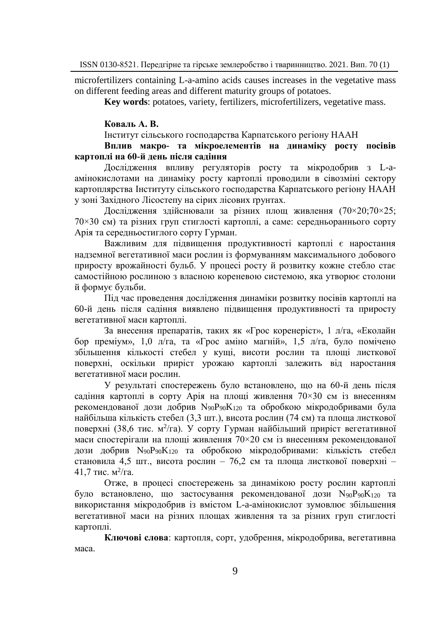microfertilizers containing L-a-amino acids causes increases in the vegetative mass on different feeding areas and different maturity groups of potatoes.

**Key words**: potatoes, variety, fertilizers, microfertilizers, vegetative mass.

### **Коваль А. В.**

Інститут сільського господарства Карпатського регіону НААН

## **Вплив макро- та мікроелементів на динаміку росту посівів картоплі на 60-й день після садіння**

Дослідження впливу регуляторів росту та мікродобрив з L-aамінокислотами на динаміку росту картоплі проводили в сівозміні сектору картоплярства Інституту сільського господарства Карпатського регіону НААН у зоні Західного Лісостепу на сірих лісових ґрунтах.

Дослідження здійснювали за різних площ живлення (70×20;70×25; 70×30 см) та різних груп стиглості картоплі, а саме: середньораннього сорту Арія та середньостиглого сорту Гурман.

Важливим для підвищення продуктивності картоплі є наростання надземної вегетативної маси рослин із формуванням максимального добового приросту врожайності бульб. У процесі росту й розвитку кожне стебло стає самостійною рослиною з власною кореневою системою, яка утворює столони й формує бульби.

Під час проведення дослідження динаміки розвитку посівів картоплі на 60-й день після садіння виявлено підвищення продуктивності та приросту вегетативної маси картоплі.

За внесення препаратів, таких як «Грос коренеріст», 1 л/га, «Еколайн бор преміум», 1,0 л/га, та «Грос аміно магній», 1,5 л/га, було помічено збільшення кількості стебел у кущі, висоти рослин та площі листкової поверхні, оскільки приріст урожаю картоплі залежить від наростання вегетативної маси рослин.

У результаті спостережень було встановлено, що на 60-й день після садіння картоплі в сорту Арія на площі живлення 70×30 см із внесенням рекомендованої дози добрив N90P90K<sup>120</sup> та обробкою мікродобривами була найбільша кількість стебел (3,3 шт.), висота рослин (74 см) та площа листкової поверхні (38,6 тис. м<sup>2</sup>/га). У сорту Гурман найбільший приріст вегетативної маси спостерігали на площі живлення 70×20 см із внесенням рекомендованої дози добрив N90P90K<sup>120</sup> та обробкою мікродобривами: кількість стебел становила 4,5 шт., висота рослин - 76,2 см та площа листкової поверхні -41,7 тис. м<sup>2</sup>/га.

Отже, в процесі спостережень за динамікою росту рослин картоплі було встановлено, що застосування рекомендованої дози N90P90K<sup>120</sup> та використання мікродобрив із вмістом L-a-амінокислот зумовлює збільшення вегетативної маси на різних площах живлення та за різних груп стиглості картоплі.

**Ключові слова**: картопля, сорт, удобрення, мікродобрива, вегетативна маса.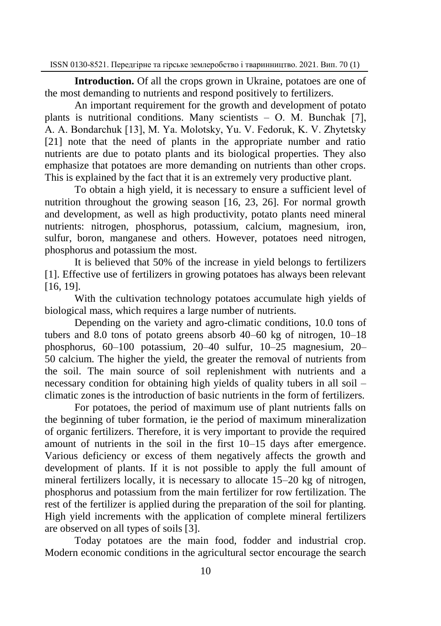**Introduction.** Of all the crops grown in Ukraine, potatoes are one of the most demanding to nutrients and respond positively to fertilizers.

An important requirement for the growth and development of potato plants is nutritional conditions. Many scientists – O. M. Bunchak [7], А. А. Bondarchuk [13], M. Ya. Molotsky, Yu. V. Fedoruk, K. V. Zhytetsky [21] note that the need of plants in the appropriate number and ratio nutrients are due to potato plants and its biological properties. They also emphasize that potatoes are more demanding on nutrients than other crops. This is explained by the fact that it is an extremely very productive plant.

To obtain a high yield, it is necessary to ensure a sufficient level of nutrition throughout the growing season [16, 23, 26]. For normal growth and development, as well as high productivity, potato plants need mineral nutrients: nitrogen, phosphorus, potassium, calcium, magnesium, iron, sulfur, boron, manganese and others. However, potatoes need nitrogen, phosphorus and potassium the most.

It is believed that 50% of the increase in yield belongs to fertilizers [1]. Effective use of fertilizers in growing potatoes has always been relevant [16, 19].

With the cultivation technology potatoes accumulate high yields of biological mass, which requires a large number of nutrients.

Depending on the variety and agro-climatic conditions, 10.0 tons of tubers and 8.0 tons of potato greens absorb 40–60 kg of nitrogen, 10–18 phosphorus, 60–100 potassium, 20–40 sulfur, 10–25 magnesium, 20– 50 calcium. The higher the yield, the greater the removal of nutrients from the soil. The main source of soil replenishment with nutrients and a necessary condition for obtaining high yields of quality tubers in all soil – climatic zones is the introduction of basic nutrients in the form of fertilizers.

For potatoes, the period of maximum use of plant nutrients falls on the beginning of tuber formation, ie the period of maximum mineralization of organic fertilizers. Therefore, it is very important to provide the required amount of nutrients in the soil in the first 10–15 days after emergence. Various deficiency or excess of them negatively affects the growth and development of plants. If it is not possible to apply the full amount of mineral fertilizers locally, it is necessary to allocate 15–20 kg of nitrogen, phosphorus and potassium from the main fertilizer for row fertilization. The rest of the fertilizer is applied during the preparation of the soil for planting. High yield increments with the application of complete mineral fertilizers are observed on all types of soils [3].

Today potatoes are the main food, fodder and industrial crop. Modern economic conditions in the agricultural sector encourage the search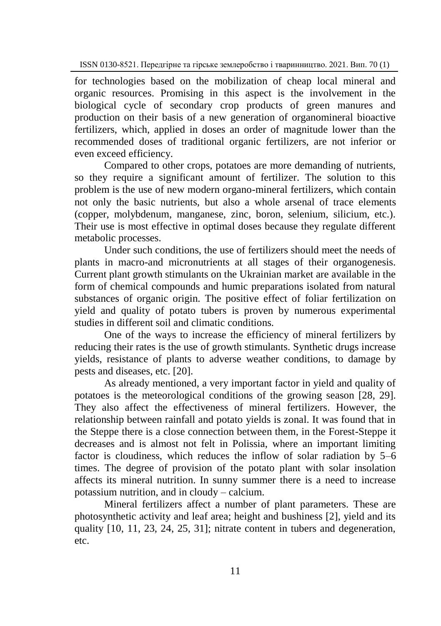for technologies based on the mobilization of cheap local mineral and organic resources. Promising in this aspect is the involvement in the biological cycle of secondary crop products of green manures and production on their basis of a new generation of organomineral bioactive fertilizers, which, applied in doses an order of magnitude lower than the recommended doses of traditional organic fertilizers, are not inferior or even exceed efficiency.

Compared to other crops, potatoes are more demanding of nutrients, so they require a significant amount of fertilizer. The solution to this problem is the use of new modern organo-mineral fertilizers, which contain not only the basic nutrients, but also a whole arsenal of trace elements (copper, molybdenum, manganese, zinc, boron, selenium, silicium, etc.). Their use is most effective in optimal doses because they regulate different metabolic processes.

Under such conditions, the use of fertilizers should meet the needs of plants in macro-and micronutrients at all stages of their organogenesis. Current plant growth stimulants on the Ukrainian market are available in the form of chemical compounds and humic preparations isolated from natural substances of organic origin. The positive effect of foliar fertilization on yield and quality of potato tubers is proven by numerous experimental studies in different soil and climatic conditions.

One of the ways to increase the efficiency of mineral fertilizers by reducing their rates is the use of growth stimulants. Synthetic drugs increase yields, resistance of plants to adverse weather conditions, to damage by pests and diseases, etc. [20].

As already mentioned, a very important factor in yield and quality of potatoes is the meteorological conditions of the growing season [28, 29]. They also affect the effectiveness of mineral fertilizers. However, the relationship between rainfall and potato yields is zonal. It was found that in the Steppe there is a close connection between them, in the Forest-Steppe it decreases and is almost not felt in Polissia, where an important limiting factor is cloudiness, which reduces the inflow of solar radiation by 5–6 times. The degree of provision of the potato plant with solar insolation affects its mineral nutrition. In sunny summer there is a need to increase potassium nutrition, and in cloudy – calcium.

Mineral fertilizers affect a number of plant parameters. These are photosynthetic activity and leaf area; height and bushiness [2], yield and its quality [10, 11, 23, 24, 25, 31]; nitrate content in tubers and degeneration, etc.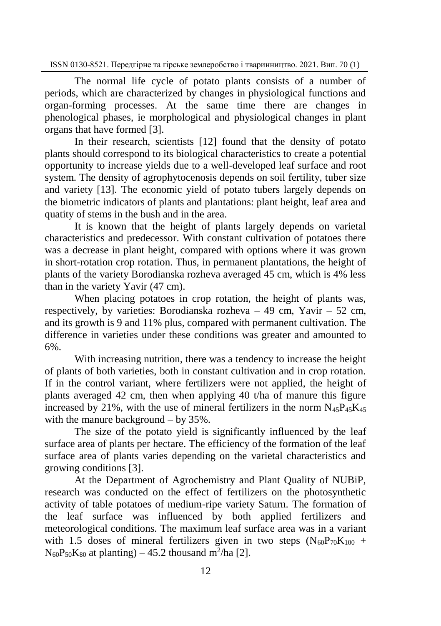The normal life cycle of potato plants consists of a number of periods, which are characterized by changes in physiological functions and organ-forming processes. At the same time there are changes in phenological phases, ie morphological and physiological changes in plant organs that have formed [3].

In their research, scientists [12] found that the density of potato plants should correspond to its biological characteristics to create a potential opportunity to increase yields due to a well-developed leaf surface and root system. The density of agrophytocenosis depends on soil fertility, tuber size and variety [13]. The economic yield of potato tubers largely depends on the biometric indicators of plants and plantations: plant height, leaf area and quatity of stems in the bush and in the area.

It is known that the height of plants largely depends on varietal characteristics and predecessor. With constant cultivation of potatoes there was a decrease in plant height, compared with options where it was grown in short-rotation crop rotation. Thus, in permanent plantations, the height of plants of the variety Borodianska rozheva averaged 45 cm, which is 4% less than in the variety Yavir (47 cm).

When placing potatoes in crop rotation, the height of plants was, respectively, by varieties: Borodianska rozheva – 49 cm, Yavir – 52 cm, and its growth is 9 and 11% plus, compared with permanent cultivation. The difference in varieties under these conditions was greater and amounted to 6%.

With increasing nutrition, there was a tendency to increase the height of plants of both varieties, both in constant cultivation and in crop rotation. If in the control variant, where fertilizers were not applied, the height of plants averaged 42 cm, then when applying 40 t/ha of manure this figure increased by 21%, with the use of mineral fertilizers in the norm  $N_{45}P_{45}K_{45}$ with the manure background – by 35%.

The size of the potato yield is significantly influenced by the leaf surface area of plants per hectare. The efficiency of the formation of the leaf surface area of plants varies depending on the varietal characteristics and growing conditions [3].

At the Department of Agrochemistry and Plant Quality of NUBiP, research was conducted on the effect of fertilizers on the photosynthetic activity of table potatoes of medium-ripe variety Saturn. The formation of the leaf surface was influenced by both applied fertilizers and meteorological conditions. The maximum leaf surface area was in a variant with 1.5 doses of mineral fertilizers given in two steps  $(N_{60}P_{70}K_{100}$  +  $N_{60}P_{50}K_{80}$  at planting) – 45.2 thousand m<sup>2</sup>/ha [2].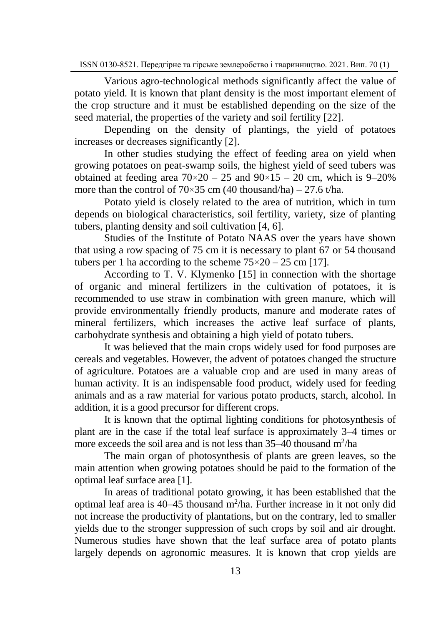Various agro-technological methods significantly affect the value of potato yield. It is known that plant density is the most important element of the crop structure and it must be established depending on the size of the seed material, the properties of the variety and soil fertility [22].

Depending on the density of plantings, the yield of potatoes increases or decreases significantly [2].

In other studies studying the effect of feeding area on yield when growing potatoes on peat-swamp soils, the highest yield of seed tubers was obtained at feeding area  $70 \times 20 - 25$  and  $90 \times 15 - 20$  cm, which is 9–20% more than the control of  $70\times35$  cm (40 thousand/ha) – 27.6 t/ha.

Potato yield is closely related to the area of nutrition, which in turn depends on biological characteristics, soil fertility, variety, size of planting tubers, planting density and soil cultivation [4, 6].

Studies of the Institute of Potato NAAS over the years have shown that using a row spacing of 75 cm it is necessary to plant 67 or 54 thousand tubers per 1 ha according to the scheme  $75 \times 20 - 25$  cm [17].

According to T. V. Klymenko [15] in connection with the shortage of organic and mineral fertilizers in the cultivation of potatoes, it is recommended to use straw in combination with green manure, which will provide environmentally friendly products, manure and moderate rates of mineral fertilizers, which increases the active leaf surface of plants, carbohydrate synthesis and obtaining a high yield of potato tubers.

It was believed that the main crops widely used for food purposes are cereals and vegetables. However, the advent of potatoes changed the structure of agriculture. Potatoes are a valuable crop and are used in many areas of human activity. It is an indispensable food product, widely used for feeding animals and as a raw material for various potato products, starch, alcohol. In addition, it is a good precursor for different crops.

It is known that the optimal lighting conditions for photosynthesis of plant are in the case if the total leaf surface is approximately 3–4 times or more exceeds the soil area and is not less than  $35-40$  thousand m<sup>2</sup>/ha

The main organ of photosynthesis of plants are green leaves, so the main attention when growing potatoes should be paid to the formation of the optimal leaf surface area [1].

In areas of traditional potato growing, it has been established that the optimal leaf area is  $40-45$  thousand m<sup>2</sup>/ha. Further increase in it not only did not increase the productivity of plantations, but on the contrary, led to smaller yields due to the stronger suppression of such crops by soil and air drought. Numerous studies have shown that the leaf surface area of potato plants largely depends on agronomic measures. It is known that crop yields are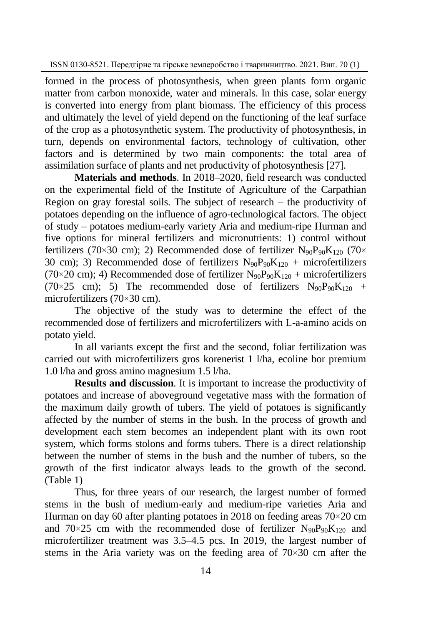formed in the process of photosynthesis, when green plants form organic matter from carbon monoxide, water and minerals. In this case, solar energy is converted into energy from plant biomass. The efficiency of this process and ultimately the level of yield depend on the functioning of the leaf surface of the crop as a photosynthetic system. The productivity of photosynthesis, in turn, depends on environmental factors, technology of cultivation, other factors and is determined by two main components: the total area of assimilation surface of plants and net productivity of photosynthesis [27].

**Materials and methods**. In 2018–2020, field research was conducted on the experimental field of the Institute of Agriculture of the Carpathian Region on gray forestal soils. The subject of research – the productivity of potatoes depending on the influence of agro-technological factors. The object of study – potatoes medium-early variety Aria and medium-ripe Hurman and five options for mineral fertilizers and micronutrients: 1) control without fertilizers (70×30 cm); 2) Recommended dose of fertilizer  $N_{90}P_{90}K_{120}$  (70× 30 cm); 3) Recommended dose of fertilizers  $N_{90}P_{90}K_{120}$  + microfertilizers (70×20 cm); 4) Recommended dose of fertilizer  $N_{90}P_{90}K_{120}$  + microfertilizers (70×25 cm); 5) The recommended dose of fertilizers  $N_{90}P_{90}K_{120}$  + microfertilizers (70×30 cm).

The objective of the study was to determine the effect of the recommended dose of fertilizers and microfertilizers with L-a-amino acids on potato yield.

In all variants except the first and the second, foliar fertilization was carried out with microfertilizers gros korenerist 1 l/ha, ecoline bor premium 1.0 l/ha and gross amino magnesium 1.5 l/ha.

**Results and discussion**. It is important to increase the productivity of potatoes and increase of aboveground vegetative mass with the formation of the maximum daily growth of tubers. The yield of potatoes is significantly affected by the number of stems in the bush. In the process of growth and development each stem becomes an independent plant with its own root system, which forms stolons and forms tubers. There is a direct relationship between the number of stems in the bush and the number of tubers, so the growth of the first indicator always leads to the growth of the second. (Table 1)

Thus, for three years of our research, the largest number of formed stems in the bush of medium-early and medium-ripe varieties Aria and Hurman on day 60 after planting potatoes in 2018 on feeding areas 70×20 cm and  $70\times25$  cm with the recommended dose of fertilizer  $N_{90}P_{90}K_{120}$  and microfertilizer treatment was 3.5–4.5 pcs. In 2019, the largest number of stems in the Aria variety was on the feeding area of  $70 \times 30$  cm after the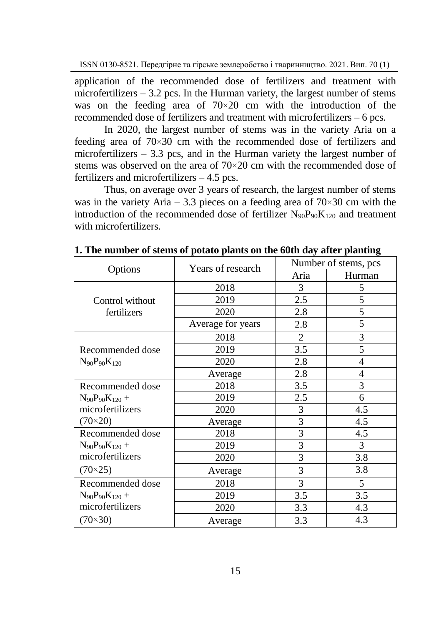application of the recommended dose of fertilizers and treatment with microfertilizers  $-3.2$  pcs. In the Hurman variety, the largest number of stems was on the feeding area of  $70\times20$  cm with the introduction of the recommended dose of fertilizers and treatment with microfertilizers – 6 pcs.

In 2020, the largest number of stems was in the variety Aria on a feeding area of 70×30 cm with the recommended dose of fertilizers and microfertilizers  $-3.3$  pcs, and in the Hurman variety the largest number of stems was observed on the area of 70×20 cm with the recommended dose of fertilizers and microfertilizers – 4.5 pcs.

Thus, on average over 3 years of research, the largest number of stems was in the variety Aria – 3.3 pieces on a feeding area of  $70 \times 30$  cm with the introduction of the recommended dose of fertilizer  $N_{90}P_{90}K_{120}$  and treatment with microfertilizers.

| Options                                     | Years of research | Number of stems, pcs |                |
|---------------------------------------------|-------------------|----------------------|----------------|
|                                             |                   | Aria                 | Hurman         |
| Control without<br>fertilizers              | 2018              | 3                    | 5              |
|                                             | 2019              | 2.5                  | 5              |
|                                             | 2020              | 2.8                  | 5              |
|                                             | Average for years | 2.8                  | 5              |
| Recommended dose<br>$N_{90}P_{90}K_{120}$   | 2018              | 2                    | 3              |
|                                             | 2019              | 3.5                  | 5              |
|                                             | 2020              | 2.8                  | $\overline{4}$ |
|                                             | Average           | 2.8                  | 4              |
| Recommended dose<br>$N_{90}P_{90}K_{120} +$ | 2018              | 3.5                  | 3              |
|                                             | 2019              | 2.5                  | 6              |
| microfertilizers                            | 2020              | 3                    | 4.5            |
| $(70 \times 20)$                            | Average           | 3                    | 4.5            |
| Recommended dose                            | 2018              | 3                    | 4.5            |
| $N_{90}P_{90}K_{120} +$                     | 2019              | 3                    | 3              |
| microfertilizers<br>$(70\times25)$          | 2020              | 3                    | 3.8            |
|                                             | Average           | 3                    | 3.8            |
| Recommended dose                            | 2018              | 3                    | 5              |
| $N_{90}P_{90}K_{120} +$                     | 2019              | 3.5                  | 3.5            |
| microfertilizers                            | 2020              | 3.3                  | 4.3            |
| $(70\times30)$                              | Average           | 3.3                  | 4.3            |

**1. The number of stems of potato plants on the 60th day after planting**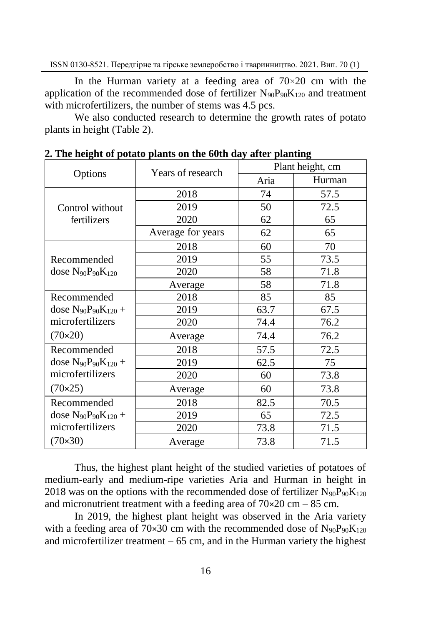In the Hurman variety at a feeding area of  $70\times20$  cm with the application of the recommended dose of fertilizer  $N_{90}P_{90}K_{120}$  and treatment with microfertilizers, the number of stems was 4.5 pcs.

We also conducted research to determine the growth rates of potato plants in height (Table 2).

| Options                                                         | " The height of potato plants on the oven day after planting<br>Years of research | Plant height, cm |        |
|-----------------------------------------------------------------|-----------------------------------------------------------------------------------|------------------|--------|
|                                                                 |                                                                                   | Aria             | Hurman |
| Control without<br>fertilizers                                  | 2018                                                                              | 74               | 57.5   |
|                                                                 | 2019                                                                              | 50               | 72.5   |
|                                                                 | 2020                                                                              | 62               | 65     |
|                                                                 | Average for years                                                                 | 62               | 65     |
| Recommended<br>dose $N_{90}P_{90}K_{120}$                       | 2018                                                                              | 60               | 70     |
|                                                                 | 2019                                                                              | 55               | 73.5   |
|                                                                 | 2020                                                                              | 58               | 71.8   |
|                                                                 | Average                                                                           | 58               | 71.8   |
| Recommended<br>dose $N_{90}P_{90}K_{120} +$<br>microfertilizers | 2018                                                                              | 85               | 85     |
|                                                                 | 2019                                                                              | 63.7             | 67.5   |
|                                                                 | 2020                                                                              | 74.4             | 76.2   |
| $(70 \times 20)$                                                | Average                                                                           | 74.4             | 76.2   |
| Recommended                                                     | 2018                                                                              | 57.5             | 72.5   |
| dose $N_{90}P_{90}K_{120} +$                                    | 2019                                                                              | 62.5             | 75     |
| microfertilizers<br>$(70 \times 25)$                            | 2020                                                                              | 60               | 73.8   |
|                                                                 | Average                                                                           | 60               | 73.8   |
| Recommended                                                     | 2018                                                                              | 82.5             | 70.5   |
| dose $N_{90}P_{90}K_{120} +$                                    | 2019                                                                              | 65               | 72.5   |
| microfertilizers                                                | 2020                                                                              | 73.8             | 71.5   |
| $(70 \times 30)$                                                | Average                                                                           | 73.8             | 71.5   |

**2. The height of potato plants on the 60th day after planting**

Thus, the highest plant height of the studied varieties of potatoes of medium-early and medium-ripe varieties Aria and Hurman in height in 2018 was on the options with the recommended dose of fertilizer  $N_{90}P_{90}K_{120}$ and micronutrient treatment with a feeding area of  $70\times20$  cm – 85 cm.

In 2019, the highest plant height was observed in the Aria variety with a feeding area of 70×30 cm with the recommended dose of  $N_{90}P_{90}K_{120}$ and microfertilizer treatment  $-65$  cm, and in the Hurman variety the highest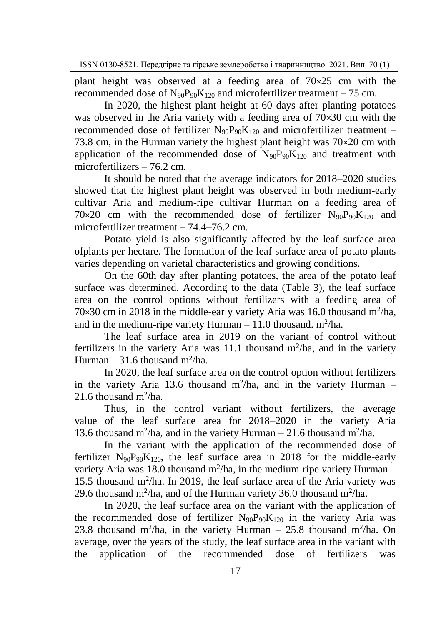plant height was observed at a feeding area of 70×25 cm with the recommended dose of  $N_{90}P_{90}K_{120}$  and microfertilizer treatment – 75 cm.

In 2020, the highest plant height at 60 days after planting potatoes was observed in the Aria variety with a feeding area of 70×30 cm with the recommended dose of fertilizer  $N_{90}P_{90}K_{120}$  and microfertilizer treatment – 73.8 cm, in the Hurman variety the highest plant height was 70×20 cm with application of the recommended dose of  $N_{90}P_{90}K_{120}$  and treatment with microfertilizers – 76.2 cm.

It should be noted that the average indicators for 2018–2020 studies showed that the highest plant height was observed in both medium-early cultivar Aria and medium-ripe cultivar Hurman on a feeding area of  $70\times20$  cm with the recommended dose of fertilizer  $N_{90}P_{90}K_{120}$  and microfertilizer treatment – 74.4–76.2 cm.

Potato yield is also significantly affected by the leaf surface area ofplants per hectare. The formation of the leaf surface area of potato plants varies depending on varietal characteristics and growing conditions.

On the 60th day after planting potatoes, the area of the potato leaf surface was determined. According to the data (Table 3), the leaf surface area on the control options without fertilizers with a feeding area of 70 $\times$ 30 cm in 2018 in the middle-early variety Aria was 16.0 thousand m<sup>2</sup>/ha, and in the medium-ripe variety Hurman  $-11.0$  thousand. m<sup>2</sup>/ha.

The leaf surface area in 2019 on the variant of control without fertilizers in the variety Aria was 11.1 thousand  $m^2/ha$ , and in the variety Hurman  $-31.6$  thousand m<sup>2</sup>/ha.

In 2020, the leaf surface area on the control option without fertilizers in the variety Aria 13.6 thousand  $m^2/ha$ , and in the variety Hurman – 21.6 thousand  $m^2/ha$ .

Thus, in the control variant without fertilizers, the average value of the leaf surface area for 2018–2020 in the variety Aria 13.6 thousand m<sup>2</sup>/ha, and in the variety Hurman – 21.6 thousand m<sup>2</sup>/ha.

In the variant with the application of the recommended dose of fertilizer  $N_{90}P_{90}K_{120}$ , the leaf surface area in 2018 for the middle-early variety Aria was 18.0 thousand m<sup>2</sup>/ha, in the medium-ripe variety Hurman -15.5 thousand  $m^2/ha$ . In 2019, the leaf surface area of the Aria variety was 29.6 thousand m<sup>2</sup>/ha, and of the Hurman variety 36.0 thousand m<sup>2</sup>/ha.

In 2020, the leaf surface area on the variant with the application of the recommended dose of fertilizer  $N_{90}P_{90}K_{120}$  in the variety Aria was 23.8 thousand m<sup>2</sup>/ha, in the variety Hurman – 25.8 thousand m<sup>2</sup>/ha. On average, over the years of the study, the leaf surface area in the variant with the application of the recommended dose of fertilizers was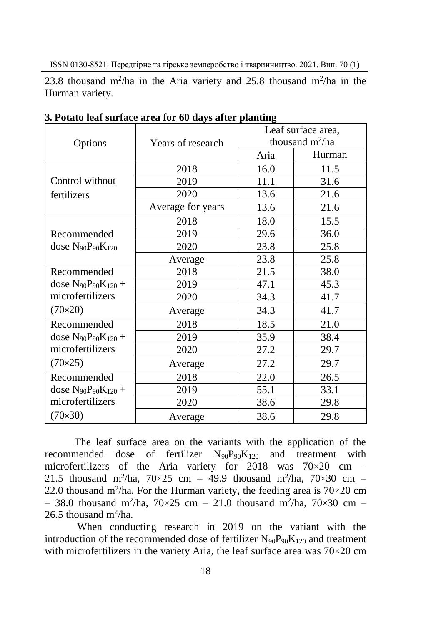23.8 thousand m<sup>2</sup>/ha in the Aria variety and 25.8 thousand m<sup>2</sup>/ha in the Hurman variety.

| Options                                                                             | $\cdots$<br>Years of research | Leaf surface area,<br>thousand $m^2/ha$ |        |
|-------------------------------------------------------------------------------------|-------------------------------|-----------------------------------------|--------|
|                                                                                     |                               | Aria                                    | Hurman |
| Control without<br>fertilizers                                                      | 2018                          | 16.0                                    | 11.5   |
|                                                                                     | 2019                          | 11.1                                    | 31.6   |
|                                                                                     | 2020                          | 13.6                                    | 21.6   |
|                                                                                     | Average for years             | 13.6                                    | 21.6   |
| Recommended<br>dose $N_{90}P_{90}K_{120}$                                           | 2018                          | 18.0                                    | 15.5   |
|                                                                                     | 2019                          | 29.6                                    | 36.0   |
|                                                                                     | 2020                          | 23.8                                    | 25.8   |
|                                                                                     | Average                       | 23.8                                    | 25.8   |
| Recommended<br>dose $N_{90}P_{90}K_{120} +$<br>microfertilizers<br>$(70 \times 20)$ | 2018                          | 21.5                                    | 38.0   |
|                                                                                     | 2019                          | 47.1                                    | 45.3   |
|                                                                                     | 2020                          | 34.3                                    | 41.7   |
|                                                                                     | Average                       | 34.3                                    | 41.7   |
| Recommended                                                                         | 2018                          | 18.5                                    | 21.0   |
| dose $N_{90}P_{90}K_{120} +$                                                        | 2019                          | 35.9                                    | 38.4   |
| microfertilizers                                                                    | 2020                          | 27.2                                    | 29.7   |
| (70×25)                                                                             | Average                       | 27.2                                    | 29.7   |
| Recommended                                                                         | 2018                          | 22.0                                    | 26.5   |
| dose $N_{90}P_{90}K_{120} +$                                                        | 2019                          | 55.1                                    | 33.1   |
| microfertilizers                                                                    | 2020                          | 38.6                                    | 29.8   |
| $(70 \times 30)$                                                                    | Average                       | 38.6                                    | 29.8   |

**3. Potato leaf surface area for 60 days after planting**

The leaf surface area on the variants with the application of the recommended dose of fertilizer  $N_{90}P_{90}K_{120}$  and treatment with microfertilizers of the Aria variety for 2018 was  $70 \times 20$  cm – 21.5 thousand m<sup>2</sup>/ha,  $70 \times 25$  cm - 49.9 thousand m<sup>2</sup>/ha,  $70 \times 30$  cm -22.0 thousand m<sup>2</sup>/ha. For the Hurman variety, the feeding area is  $70\times20$  cm  $-38.0$  thousand m<sup>2</sup>/ha,  $70\times25$  cm  $-21.0$  thousand m<sup>2</sup>/ha,  $70\times30$  cm  $-$ 26.5 thousand  $m^2/ha$ .

When conducting research in 2019 on the variant with the introduction of the recommended dose of fertilizer  $N_{90}P_{90}K_{120}$  and treatment with microfertilizers in the variety Aria, the leaf surface area was  $70 \times 20$  cm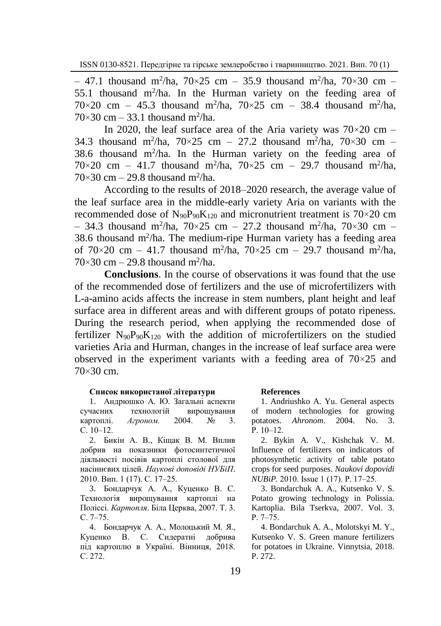$-$  47.1 thousand m<sup>2</sup>/ha, 70×25 cm  $-$  35.9 thousand m<sup>2</sup>/ha, 70×30 cm  $-$ 55.1 thousand  $m^2/ha$ . In the Hurman variety on the feeding area of  $70 \times 20$  cm – 45.3 thousand m<sup>2</sup>/ha,  $70 \times 25$  cm – 38.4 thousand m<sup>2</sup>/ha,  $70 \times 30$  cm – 33.1 thousand m<sup>2</sup>/ha.

In 2020, the leaf surface area of the Aria variety was  $70 \times 20$  cm – 34.3 thousand m<sup>2</sup>/ha, 70×25 cm – 27.2 thousand m<sup>2</sup>/ha, 70×30 cm – 38.6 thousand  $m^2/ha$ . In the Hurman variety on the feeding area of  $70 \times 20$  cm – 41.7 thousand m<sup>2</sup>/ha,  $70 \times 25$  cm – 29.7 thousand m<sup>2</sup>/ha,  $70\times30$  cm  $-29.8$  thousand m<sup>2</sup>/ha.

According to the results of 2018–2020 research, the average value of the leaf surface area in the middle-early variety Aria on variants with the recommended dose of  $N_{90}P_{90}K_{120}$  and micronutrient treatment is  $70\times20$  cm  $-$  34.3 thousand m<sup>2</sup>/ha, 70×25 cm  $-$  27.2 thousand m<sup>2</sup>/ha, 70×30 cm  $-$ 38.6 thousand m<sup>2</sup> /ha. The medium-ripe Hurman variety has a feeding area of  $70 \times 20$  cm – 41.7 thousand m<sup>2</sup>/ha,  $70 \times 25$  cm – 29.7 thousand m<sup>2</sup>/ha,  $70\times30$  cm  $-29.8$  thousand m<sup>2</sup>/ha.

**Conclusions**. In the course of observations it was found that the use of the recommended dose of fertilizers and the use of microfertilizers with L-a-amino acids affects the increase in stem numbers, plant height and leaf surface area in different areas and with different groups of potato ripeness. During the research period, when applying the recommended dose of fertilizer  $N_{90}P_{90}K_{120}$  with the addition of microfertilizers on the studied varieties Aria and Hurman, changes in the increase of leaf surface area were observed in the experiment variants with a feeding area of  $70\times25$  and 70×30 cm.

### **Список використаної літератури**

1. Андрюшко А. Ю. Загальні аспекти сучасних технологій вирощування<br>картоплі. Агроном. 2004. № 3. картоплі. *Агроном.* 2004. № С.  $10-12$ .

2. Бикін А. В., Кіщак В. М. Вплив добрив на показники фотосинтетичної діяльності посівів картоплі столової для насіннєвих цілей. *Наукові доповіді НУБіП*. 2010. Вип. 1 (17). С. 17‒25.

3. Бондарчук А. А., Куценко В. С. Технологія вирощування картоплі на Поліссі. *Картопля*. Біла Церква, 2007. Т. 3. С. 7‒75.

4. Бондарчук А. А., Молоцький М. Я., Куценко В. С. Сидератні добрива під картоплю в Україні. Вінниця, 2018. С. 272.

### **References**

1. Andriushko A. Yu. General aspects of modern technologies for growing potatoes. *Ahronom*. 2004. No. 3.  $P. 10-12.$ 

2. Bykin A. V., Kishchak V. M. Influence of fertilizers on indicators of photosynthetic activity of table potato crops for seed purposes. *Naukovi dopovidi NUBiP.* 2010. Issue 1 (17). P. 17–25.

3. Bondarchuk A. A., Kutsenko V. S. Potato growing technology in Polissia. Kartoplia. Bila Tserkva, 2007. Vol. 3. P. 7‒75.

4. Bondarchuk A. A., Molotskyi M. Y., Kutsenko V. S. Green manure fertilizers for potatoes in Ukraine. Vinnytsia, 2018. P. 272.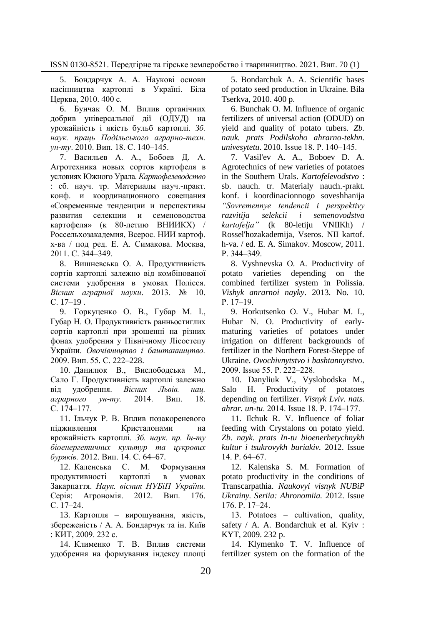5. Бондарчук А. А. Наукові основи насінництва картоплі в Україні. Біла Церква, 2010. 400 с.

6. Бунчак О. М. Вплив органічних добрив універсальної дії (ОДУД) на урожайність і якість бульб картоплі. *Зб. наук. праць Подільського аграрно-техн. ун-ту*. 2010. Вип. 18. С. 140‒145.

7. Васильев А. А., Бобоев Д. А. Агротехника новых сортов картофеля в условиях Южного Урала. *Картофелеводство* : сб. науч. тр. Материалы науч.-практ. конф. и координационного совещания «Современные тенденции и перспективы развития селекции и семеноводства картофеля» (к 80-летию ВНИИКХ) / Россельхозакадемия, Всерос. НИИ картоф. х-ва / под ред. Е. А. Симакова. Москва, 2011. С. 344‒349.

8. Вишневська О. А. Продуктивність сортів картоплі залежно від комбінованої системи удобрення в умовах Полісся. *Вісник аграрної науки*. 2013. № 10. С. 17–19 .

9. Горкуценко О. В., Губар М. І., Губар Н. О. Продуктивність ранньостиглих сортів картоплі при зрошенні на різних фонах удобрення у Північному Лісостепу України. *Овочівництво і баштанництво.*  2009. Вип. 55*.* С. 222–228.

10. Данилюк В., Вислободська М., Сало Г. Продуктивність картоплі залежно від удобрення. *Вісник Львів. нац. аграрного ун-ту.* 2014. Вип. 18*.* С. 174‒177.

11. Ільчук Р. В. Вплив позакореневого підживлення Кристалонами на врожайність картоплі. *Зб. наук. пр. Ін-ту біоенергетичних культур та цукрових буряків.* 2012. Вип. 14. С. 64–67.

12. Каленська С. М. Формування продуктивності картоплі в умовах Закарпаття. *Наук. вісник НУБіП України.*  Серія: Агрономія. 2012. Вип. 176. С. 17‒24.

13. Картопля - вирощування, якість, збереженість / А. А. Бондарчук та ін. Київ : КИТ, 2009. 232 с.

14. Клименко Т. В. Вплив системи удобрення на формування індексу площі

5. Bondarchuk A. A. Scientific bases of potato seed production in Ukraine. Bila Tserkva, 2010. 400 p.

6. Bunchak O. M. Influence of organic fertilizers of universal action (ODUD) on yield and quality of potato tubers. *Zb. nauk. prats Podilskoho ahrarno-tekhn. univesytetu*. 2010. Issue 18. P. 140‒145.

7. Vasil'ev A. A., Boboev D. A. Agrotechnics of new varieties of potatoes in the Southern Urals. *Kartofelevodstvo* : sb. nauch. tr. Materialy nauch.-prakt. konf. i koordinacionnogo soveshhanija *"Sovremennye tendencii i perspektivy razvitija selekcii i semenovodstva kartofelja"* (k 80-letiju VNIIKh) / Rossel'hozakademija, Vseros. NII kartof. h-va. / ed. E. A. Simakov. Moscow, 2011. P. 344‒349.

8. Vyshnevska O. A. Productivity of potato varieties depending on the combined fertilizer system in Polissia. *Vishyk anrarnoi nayky*. 2013. No. 10. P. 17-19.

9. Horkutsenko O. V., Hubar M. I., Hubar N. O. Productivity of earlymaturing varieties of potatoes under irrigation on different backgrounds of fertilizer in the Northern Forest-Steppe of Ukraine. *Ovochivnytstvo i bashtannytstvo.* 2009. Issue 55. P. 222‒228.

10. Danyliuk V., Vyslobodska M., Salo H. Productivity of potatoes depending on fertilizer. *Visnyk Lviv. nats. ahrar. un-tu*. 2014. Issue 18. P. 174‒177.

11. Ilchuk R. V. Influence of foliar feeding with Crystalons on potato yield. *Zb. nayk. prats In-tu bioenerhetychnykh kultur i tsukrovykh buriakiv.* 2012. Issue 14. P. 64‒67.

12. Kalenska S. M. Formation of potato productivity in the conditions of Transcarpathia. *Naukovyi visnyk NUBiP Ukrainy. Seriia: Ahronomiia.* 2012. Issue 176. P. 17‒24.

13. Potatoes – cultivation, quality, safety / A. A. Bondarchuk et al. Kyiv : KYT, 2009. 232 p.

14. Klymenko T. V. Influence of fertilizer system on the formation of the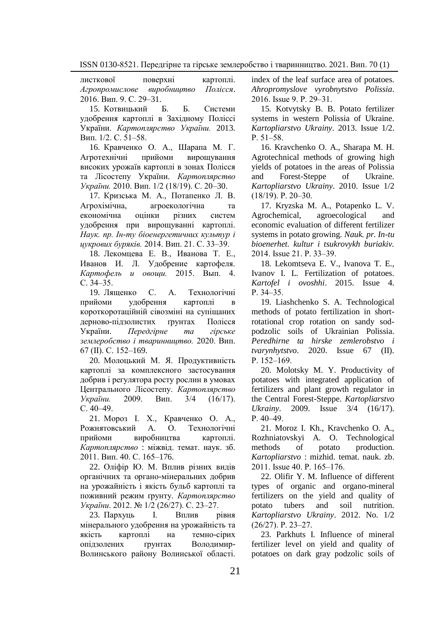листкової поверхні картоплі. *Агропромислове виробництво Полісся*. 2016. Вип. 9. С. 29–31.

15. Котвицький Б. Б. Системи удобрення картоплі в Західному Поліссі України. *Картоплярство України.* 2013. Вип.  $1/2$ . С.  $\overline{51}$ –58.

16. Кравченко О. А., Шарапа М. Г. Агротехнічні прийоми вирощування високих урожаїв картоплі в зонах Полісся та Лісостепу України. *Картоплярство України.* 2010. Вип. 1/2 (18/19). С. 20–30.

17. Кризська М. А., Потапенко Л. В. Агрохімічна, агроекологічна та економічна оцінки різних систем удобрення при вирощуванні картоплі. *Наук. пр. Ін-ту біоенергетичних культур і цукрових буряків.* 2014. Вип. 21. С. 33‒39.

18. Лекомцева Е. В., Иванова Т. Е., Иванов И. Л. Удобрение картофеля. *Картофель и овощи.* 2015. Вып. 4. С.  $34 - 35$ .

19. Лященко С. А. Технологічні прийоми удобрення картоплі в короткоротаційній сівозміні на супіщаних дерново-підзолистих ґрунтах Полісся України. *Передгірне та гірське землеробство і тваринництво.* 2020. Вип. 67 (ІІ). С. 152–169.

20. Молоцький М. Я. Продуктивність картоплі за комплексного застосування добрив і регулятора росту рослин в умовах Центрального Лісостепу. *Картоплярство України.* 2009. Вип. 3/4 (16/17). С.  $40-49$ .

21. Мороз І. Х., Кравченко О. А., Рожнятовський А. О. Технологічні прийоми виробництва картоплі. *Картоплярство* : міжвід. темат. наук. зб. 2011. Вип. 40. С. 165–176.

22. Оліфір Ю. М. Вплив різних видів органічних та органо-мінеральних добрив на урожайність і якість бульб картоплі та поживний режим ґрунту. *Картоплярство України*. 2012. № 1/2 (26/27). С. 23‒27.

23. Пархуць І. Вплив рівня мінерального удобрення на урожайність та якість картоплі на темно-сірих опідзолених ґрунтах Володимир-Волинського району Волинської області. index of the leaf surface area of potatoes. *Ahropromyslove vyrobnytstvo Polissia*. 2016. Issue 9. P. 29‒31.

15. Kotvytsky B. B. Potato fertilizer systems in western Polissia of Ukraine. *Kartopliarstvo Ukrainy*. 2013. Issue 1/2. P. 51–58.

16. Kravchenko O. A., Sharapa M. H. Agrotechnical methods of growing high yields of potatoes in the areas of Polissia and Forest-Steppe of Ukraine. *Kartopliarstvo Ukrainy*. 2010. Issue 1/2 (18/19). P. 20‒30.

17. Kryzska M. A., Potapenko L. V. Agrochemical, agroecological and economic evaluation of different fertilizer systems in potato growing. *Nauk. pr. In-tu bioenerhet. kultur i tsukrovykh buriakiv.* 2014. Issue 21. P. 33‒39.

18. Lekomtseva E. V., Ivanova T. E., Ivanov I. L. Fertilization of potatoes. *Kartofel i ovoshhi*. 2015. Issue 4. P. 34‒35.

19. Liashchenko S. A. Technological methods of potato fertilization in shortrotational crop rotation on sandy sodpodzolic soils of Ukrainian Polissia. *Peredhirne ta hirske zemlerobstvo i tvarynhytstvo*. 2020. Issue 67 (II). P. 152-169.

20. Molotsky M. Y. Productivity of potatoes with integrated application of fertilizers and plant growth regulator in the Central Forest-Steppe. *Kartopliarstvo Ukrainy*. 2009. Issue 3/4 (16/17). P. 40–49.

21. Moroz I. Kh., Kravchenko O. A., Rozhniatovskyi A. O. Technological methods of potato production. *Kartopliarstvo* : mizhid. temat. nauk. zb. 2011. Issue 40. P. 165–176.

22. Olifir Y. M. Influence of different types of organic and organo-mineral fertilizers on the yield and quality of potato tubers and soil nutrition. *Kartopliarstvo Ukrainy*. 2012. No. 1/2  $(26/27)$ . P. 23-27.

23. Parkhuts I. Influence of mineral fertilizer level on yield and quality of potatoes on dark gray podzolic soils of